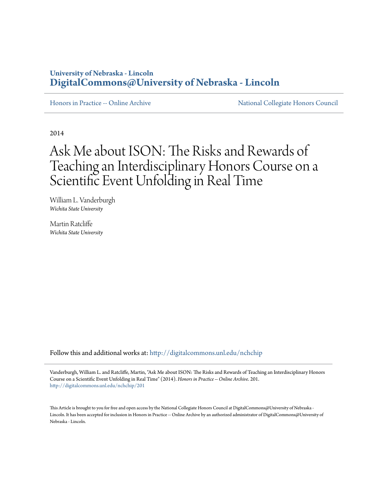# **University of Nebraska - Lincoln [DigitalCommons@University of Nebraska - Lincoln](http://digitalcommons.unl.edu?utm_source=digitalcommons.unl.edu%2Fnchchip%2F201&utm_medium=PDF&utm_campaign=PDFCoverPages)**

[Honors in Practice -- Online Archive](http://digitalcommons.unl.edu/nchchip?utm_source=digitalcommons.unl.edu%2Fnchchip%2F201&utm_medium=PDF&utm_campaign=PDFCoverPages) [National Collegiate Honors Council](http://digitalcommons.unl.edu/natlcollhonors?utm_source=digitalcommons.unl.edu%2Fnchchip%2F201&utm_medium=PDF&utm_campaign=PDFCoverPages)

2014

# Ask Me about ISON: The Risks and Rewards of Teaching an Interdisciplinary Honors Course on a Scientific Event Unfolding in Real Time

William L. Vanderburgh *Wichita State University*

Martin Ratcliffe *Wichita State University*

Follow this and additional works at: [http://digitalcommons.unl.edu/nchchip](http://digitalcommons.unl.edu/nchchip?utm_source=digitalcommons.unl.edu%2Fnchchip%2F201&utm_medium=PDF&utm_campaign=PDFCoverPages)

Vanderburgh, William L. and Ratcliffe, Martin, "Ask Me about ISON: The Risks and Rewards of Teaching an Interdisciplinary Honors Course on a Scientific Event Unfolding in Real Time" (2014). *Honors in Practice -- Online Archive*. 201. [http://digitalcommons.unl.edu/nchchip/201](http://digitalcommons.unl.edu/nchchip/201?utm_source=digitalcommons.unl.edu%2Fnchchip%2F201&utm_medium=PDF&utm_campaign=PDFCoverPages)

This Article is brought to you for free and open access by the National Collegiate Honors Council at DigitalCommons@University of Nebraska - Lincoln. It has been accepted for inclusion in Honors in Practice -- Online Archive by an authorized administrator of DigitalCommons@University of Nebraska - Lincoln.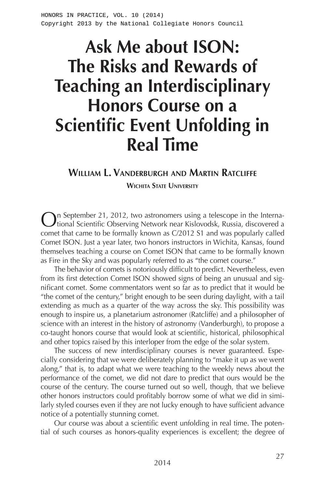# **Ask Me about ISON: The Risks and Rewards of Teaching an Interdisciplinary Honors Course on a Scientific Event Unfolding in Real Time**

#### **William L. Vanderburgh and Martin Ratcliffe**

**Wichita State University**

On September 21, 2012, two astronomers using a telescope in the Interna-tional Scientific Observing Network near Kislovodsk, Russia, discovered a comet that came to be formally known as C/2012 S1 and was popularly called Comet ISON. Just a year later, two honors instructors in Wichita, Kansas, found themselves teaching a course on Comet ISON that came to be formally known as Fire in the Sky and was popularly referred to as "the comet course."

The behavior of comets is notoriously difficult to predict. Nevertheless, even from its first detection Comet ISON showed signs of being an unusual and significant comet. Some commentators went so far as to predict that it would be "the comet of the century," bright enough to be seen during daylight, with a tail extending as much as a quarter of the way across the sky. This possibility was enough to inspire us, a planetarium astronomer (Ratcliffe) and a philosopher of science with an interest in the history of astronomy (Vanderburgh), to propose a co-taught honors course that would look at scientific, historical, philosophical and other topics raised by this interloper from the edge of the solar system.

The success of new interdisciplinary courses is never guaranteed. Especially considering that we were deliberately planning to "make it up as we went along," that is, to adapt what we were teaching to the weekly news about the performance of the comet, we did not dare to predict that ours would be the course of the century. The course turned out so well, though, that we believe other honors instructors could profitably borrow some of what we did in similarly styled courses even if they are not lucky enough to have sufficient advance notice of a potentially stunning comet.

Our course was about a scientific event unfolding in real time. The potential of such courses as honors-quality experiences is excellent; the degree of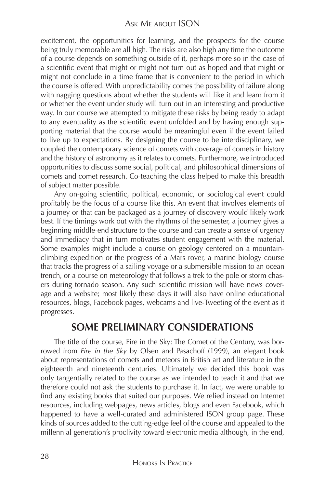excitement, the opportunities for learning, and the prospects for the course being truly memorable are all high. The risks are also high any time the outcome of a course depends on something outside of it, perhaps more so in the case of a scientific event that might or might not turn out as hoped and that might or might not conclude in a time frame that is convenient to the period in which the course is offered. With unpredictability comes the possibility of failure along with nagging questions about whether the students will like it and learn from it or whether the event under study will turn out in an interesting and productive way. In our course we attempted to mitigate these risks by being ready to adapt to any eventuality as the scientific event unfolded and by having enough supporting material that the course would be meaningful even if the event failed to live up to expectations. By designing the course to be interdisciplinary, we coupled the contemporary science of comets with coverage of comets in history and the history of astronomy as it relates to comets. Furthermore, we introduced opportunities to discuss some social, political, and philosophical dimensions of comets and comet research. Co-teaching the class helped to make this breadth of subject matter possible.

Any on-going scientific, political, economic, or sociological event could profitably be the focus of a course like this. An event that involves elements of a journey or that can be packaged as a journey of discovery would likely work best. If the timings work out with the rhythms of the semester, a journey gives a beginning-middle-end structure to the course and can create a sense of urgency and immediacy that in turn motivates student engagement with the material. Some examples might include a course on geology centered on a mountainclimbing expedition or the progress of a Mars rover, a marine biology course that tracks the progress of a sailing voyage or a submersible mission to an ocean trench, or a course on meteorology that follows a trek to the pole or storm chasers during tornado season. Any such scientific mission will have news coverage and a website; most likely these days it will also have online educational resources, blogs, Facebook pages, webcams and live-Tweeting of the event as it progresses.

### **SOME PRELIMINARY CONSIDERATIONS**

The title of the course, Fire in the Sky: The Comet of the Century, was borrowed from *Fire in the Sky* by Olsen and Pasachoff (1999), an elegant book about representations of comets and meteors in British art and literature in the eighteenth and nineteenth centuries. Ultimately we decided this book was only tangentially related to the course as we intended to teach it and that we therefore could not ask the students to purchase it. In fact, we were unable to find any existing books that suited our purposes. We relied instead on Internet resources, including webpages, news articles, blogs and even Facebook, which happened to have a well-curated and administered ISON group page. These kinds of sources added to the cutting-edge feel of the course and appealed to the millennial generation's proclivity toward electronic media although, in the end,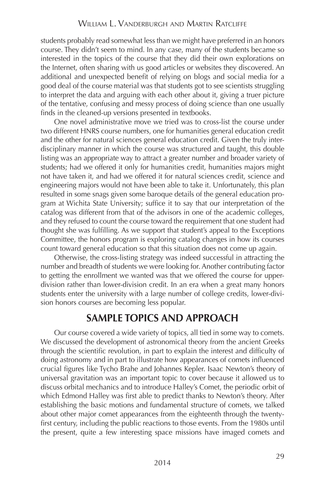#### William L. Vanderburgh and Martin Ratcliffe

students probably read somewhat less than we might have preferred in an honors course. They didn't seem to mind. In any case, many of the students became so interested in the topics of the course that they did their own explorations on the Internet, often sharing with us good articles or websites they discovered. An additional and unexpected benefit of relying on blogs and social media for a good deal of the course material was that students got to see scientists struggling to interpret the data and arguing with each other about it, giving a truer picture of the tentative, confusing and messy process of doing science than one usually finds in the cleaned-up versions presented in textbooks.

One novel administrative move we tried was to cross-list the course under two different HNRS course numbers, one for humanities general education credit and the other for natural sciences general education credit. Given the truly interdisciplinary manner in which the course was structured and taught, this double listing was an appropriate way to attract a greater number and broader variety of students; had we offered it only for humanities credit, humanities majors might not have taken it, and had we offered it for natural sciences credit, science and engineering majors would not have been able to take it. Unfortunately, this plan resulted in some snags given some baroque details of the general education program at Wichita State University; suffice it to say that our interpretation of the catalog was different from that of the advisors in one of the academic colleges, and they refused to count the course toward the requirement that one student had thought she was fulfilling. As we support that student's appeal to the Exceptions Committee, the honors program is exploring catalog changes in how its courses count toward general education so that this situation does not come up again.

Otherwise, the cross-listing strategy was indeed successful in attracting the number and breadth of students we were looking for. Another contributing factor to getting the enrollment we wanted was that we offered the course for upperdivision rather than lower-division credit. In an era when a great many honors students enter the university with a large number of college credits, lower-division honors courses are becoming less popular.

# **SAMPLE TOPICS AND APPROACH**

Our course covered a wide variety of topics, all tied in some way to comets. We discussed the development of astronomical theory from the ancient Greeks through the scientific revolution, in part to explain the interest and difficulty of doing astronomy and in part to illustrate how appearances of comets influenced crucial figures like Tycho Brahe and Johannes Kepler. Isaac Newton's theory of universal gravitation was an important topic to cover because it allowed us to discuss orbital mechanics and to introduce Halley's Comet, the periodic orbit of which Edmond Halley was first able to predict thanks to Newton's theory. After establishing the basic motions and fundamental structure of comets, we talked about other major comet appearances from the eighteenth through the twentyfirst century, including the public reactions to those events. From the 1980s until the present, quite a few interesting space missions have imaged comets and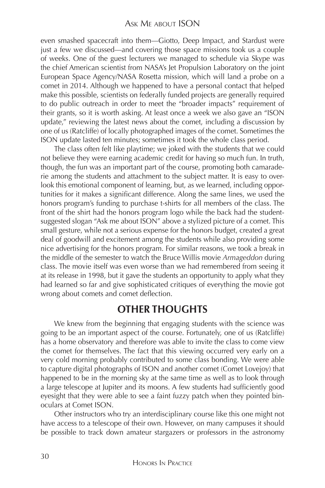even smashed spacecraft into them—Giotto, Deep Impact, and Stardust were just a few we discussed—and covering those space missions took us a couple of weeks. One of the guest lecturers we managed to schedule via Skype was the chief American scientist from NASA's Jet Propulsion Laboratory on the joint European Space Agency/NASA Rosetta mission, which will land a probe on a comet in 2014. Although we happened to have a personal contact that helped make this possible, scientists on federally funded projects are generally required to do public outreach in order to meet the "broader impacts" requirement of their grants, so it is worth asking. At least once a week we also gave an "ISON update," reviewing the latest news about the comet, including a discussion by one of us (Ratcliffe) of locally photographed images of the comet. Sometimes the ISON update lasted ten minutes; sometimes it took the whole class period.

The class often felt like playtime; we joked with the students that we could not believe they were earning academic credit for having so much fun. In truth, though, the fun was an important part of the course, promoting both camaraderie among the students and attachment to the subject matter. It is easy to overlook this emotional component of learning, but, as we learned, including opportunities for it makes a significant difference. Along the same lines, we used the honors program's funding to purchase t-shirts for all members of the class. The front of the shirt had the honors program logo while the back had the studentsuggested slogan "Ask me about ISON" above a stylized picture of a comet. This small gesture, while not a serious expense for the honors budget, created a great deal of goodwill and excitement among the students while also providing some nice advertising for the honors program. For similar reasons, we took a break in the middle of the semester to watch the Bruce Willis movie *Armageddon* during class. The movie itself was even worse than we had remembered from seeing it at its release in 1998, but it gave the students an opportunity to apply what they had learned so far and give sophisticated critiques of everything the movie got wrong about comets and comet deflection.

### **OTHER THOUGHTS**

We knew from the beginning that engaging students with the science was going to be an important aspect of the course. Fortunately, one of us (Ratcliffe) has a home observatory and therefore was able to invite the class to come view the comet for themselves. The fact that this viewing occurred very early on a very cold morning probably contributed to some class bonding. We were able to capture digital photographs of ISON and another comet (Comet Lovejoy) that happened to be in the morning sky at the same time as well as to look through a large telescope at Jupiter and its moons. A few students had sufficiently good eyesight that they were able to see a faint fuzzy patch when they pointed binoculars at Comet ISON.

Other instructors who try an interdisciplinary course like this one might not have access to a telescope of their own. However, on many campuses it should be possible to track down amateur stargazers or professors in the astronomy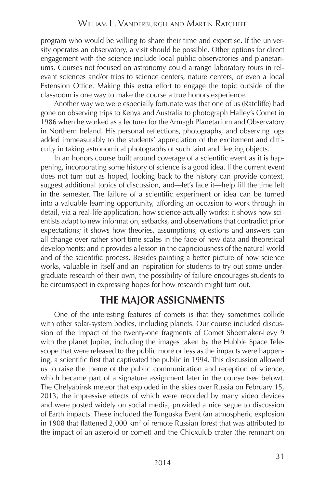program who would be willing to share their time and expertise. If the university operates an observatory, a visit should be possible. Other options for direct engagement with the science include local public observatories and planetariums. Courses not focused on astronomy could arrange laboratory tours in relevant sciences and/or trips to science centers, nature centers, or even a local Extension Office. Making this extra effort to engage the topic outside of the classroom is one way to make the course a true honors experience.

Another way we were especially fortunate was that one of us (Ratcliffe) had gone on observing trips to Kenya and Australia to photograph Halley's Comet in 1986 when he worked as a lecturer for the Armagh Planetarium and Observatory in Northern Ireland. His personal reflections, photographs, and observing logs added immeasurably to the students' appreciation of the excitement and difficulty in taking astronomical photographs of such faint and fleeting objects.

In an honors course built around coverage of a scientific event as it is happening, incorporating some history of science is a good idea. If the current event does not turn out as hoped, looking back to the history can provide context, suggest additional topics of discussion, and—let's face it—help fill the time left in the semester. The failure of a scientific experiment or idea can be turned into a valuable learning opportunity, affording an occasion to work through in detail, via a real-life application, how science actually works: it shows how scientists adapt to new information, setbacks, and observations that contradict prior expectations; it shows how theories, assumptions, questions and answers can all change over rather short time scales in the face of new data and theoretical developments; and it provides a lesson in the capriciousness of the natural world and of the scientific process. Besides painting a better picture of how science works, valuable in itself and an inspiration for students to try out some undergraduate research of their own, the possibility of failure encourages students to be circumspect in expressing hopes for how research might turn out.

## **THE MAJOR ASSIGNMENTS**

One of the interesting features of comets is that they sometimes collide with other solar-system bodies, including planets. Our course included discussion of the impact of the twenty-one fragments of Comet Shoemaker-Levy 9 with the planet Jupiter, including the images taken by the Hubble Space Telescope that were released to the public more or less as the impacts were happening, a scientific first that captivated the public in 1994. This discussion allowed us to raise the theme of the public communication and reception of science, which became part of a signature assignment later in the course (see below). The Chelyabinsk meteor that exploded in the skies over Russia on February 15, 2013, the impressive effects of which were recorded by many video devices and were posted widely on social media, provided a nice segue to discussion of Earth impacts. These included the Tunguska Event (an atmospheric explosion in 1908 that flattened 2,000 km<sup>2</sup> of remote Russian forest that was attributed to the impact of an asteroid or comet) and the Chicxulub crater (the remnant on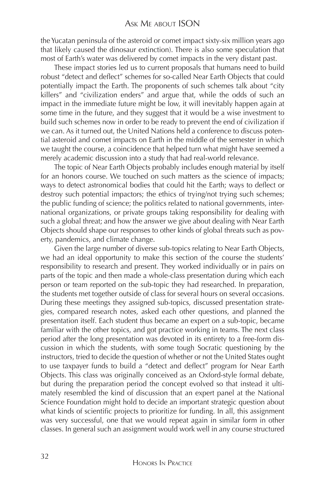the Yucatan peninsula of the asteroid or comet impact sixty-six million years ago that likely caused the dinosaur extinction). There is also some speculation that most of Earth's water was delivered by comet impacts in the very distant past.

These impact stories led us to current proposals that humans need to build robust "detect and deflect" schemes for so-called Near Earth Objects that could potentially impact the Earth. The proponents of such schemes talk about "city killers" and "civilization enders" and argue that, while the odds of such an impact in the immediate future might be low, it will inevitably happen again at some time in the future, and they suggest that it would be a wise investment to build such schemes now in order to be ready to prevent the end of civilization if we can. As it turned out, the United Nations held a conference to discuss potential asteroid and comet impacts on Earth in the middle of the semester in which we taught the course, a coincidence that helped turn what might have seemed a merely academic discussion into a study that had real-world relevance.

The topic of Near Earth Objects probably includes enough material by itself for an honors course. We touched on such matters as the science of impacts; ways to detect astronomical bodies that could hit the Earth; ways to deflect or destroy such potential impactors; the ethics of trying/not trying such schemes; the public funding of science; the politics related to national governments, international organizations, or private groups taking responsibility for dealing with such a global threat; and how the answer we give about dealing with Near Earth Objects should shape our responses to other kinds of global threats such as poverty, pandemics, and climate change.

Given the large number of diverse sub-topics relating to Near Earth Objects, we had an ideal opportunity to make this section of the course the students' responsibility to research and present. They worked individually or in pairs on parts of the topic and then made a whole-class presentation during which each person or team reported on the sub-topic they had researched. In preparation, the students met together outside of class for several hours on several occasions. During these meetings they assigned sub-topics, discussed presentation strategies, compared research notes, asked each other questions, and planned the presentation itself. Each student thus became an expert on a sub-topic, became familiar with the other topics, and got practice working in teams. The next class period after the long presentation was devoted in its entirety to a free-form discussion in which the students, with some tough Socratic questioning by the instructors, tried to decide the question of whether or not the United States ought to use taxpayer funds to build a "detect and deflect" program for Near Earth Objects. This class was originally conceived as an Oxford-style formal debate, but during the preparation period the concept evolved so that instead it ultimately resembled the kind of discussion that an expert panel at the National Science Foundation might hold to decide an important strategic question about what kinds of scientific projects to prioritize for funding. In all, this assignment was very successful, one that we would repeat again in similar form in other classes. In general such an assignment would work well in any course structured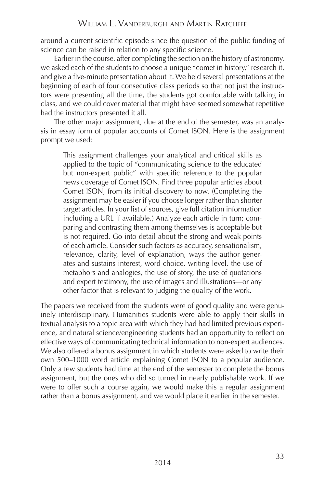around a current scientific episode since the question of the public funding of science can be raised in relation to any specific science.

Earlier in the course, after completing the section on the history of astronomy, we asked each of the students to choose a unique "comet in history," research it, and give a five-minute presentation about it. We held several presentations at the beginning of each of four consecutive class periods so that not just the instructors were presenting all the time, the students got comfortable with talking in class, and we could cover material that might have seemed somewhat repetitive had the instructors presented it all.

The other major assignment, due at the end of the semester, was an analysis in essay form of popular accounts of Comet ISON. Here is the assignment prompt we used:

This assignment challenges your analytical and critical skills as applied to the topic of "communicating science to the educated but non-expert public" with specific reference to the popular news coverage of Comet ISON. Find three popular articles about Comet ISON, from its initial discovery to now. (Completing the assignment may be easier if you choose longer rather than shorter target articles. In your list of sources, give full citation information including a URL if available.) Analyze each article in turn; comparing and contrasting them among themselves is acceptable but is not required. Go into detail about the strong and weak points of each article. Consider such factors as accuracy, sensationalism, relevance, clarity, level of explanation, ways the author generates and sustains interest, word choice, writing level, the use of metaphors and analogies, the use of story, the use of quotations and expert testimony, the use of images and illustrations—or any other factor that is relevant to judging the quality of the work.

The papers we received from the students were of good quality and were genuinely interdisciplinary. Humanities students were able to apply their skills in textual analysis to a topic area with which they had had limited previous experience, and natural science/engineering students had an opportunity to reflect on effective ways of communicating technical information to non-expert audiences. We also offered a bonus assignment in which students were asked to write their own 500–1000 word article explaining Comet ISON to a popular audience. Only a few students had time at the end of the semester to complete the bonus assignment, but the ones who did so turned in nearly publishable work. If we were to offer such a course again, we would make this a regular assignment rather than a bonus assignment, and we would place it earlier in the semester.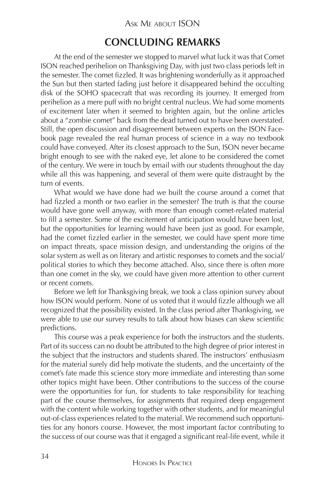#### Ask Me about ISON

### **CONCLUDING REMARKS**

At the end of the semester we stopped to marvel what luck it was that Comet ISON reached perihelion on Thanksgiving Day, with just two class periods left in the semester. The comet fizzled. It was brightening wonderfully as it approached the Sun but then started fading just before it disappeared behind the occulting disk of the SOHO spacecraft that was recording its journey. It emerged from perihelion as a mere puff with no bright central nucleus. We had some moments of excitement later when it seemed to brighten again, but the online articles about a "zombie comet" back from the dead turned out to have been overstated. Still, the open discussion and disagreement between experts on the ISON Facebook page revealed the real human process of science in a way no textbook could have conveyed. After its closest approach to the Sun, ISON never became bright enough to see with the naked eye, let alone to be considered the comet of the century. We were in touch by email with our students throughout the day while all this was happening, and several of them were quite distraught by the turn of events.

What would we have done had we built the course around a comet that had fizzled a month or two earlier in the semester? The truth is that the course would have gone well anyway, with more than enough comet-related material to fill a semester. Some of the excitement of anticipation would have been lost, but the opportunities for learning would have been just as good. For example, had the comet fizzled earlier in the semester, we could have spent more time on impact threats, space mission design, and understanding the origins of the solar system as well as on literary and artistic responses to comets and the social/ political stories to which they become attached. Also, since there is often more than one comet in the sky, we could have given more attention to other current or recent comets.

Before we left for Thanksgiving break, we took a class opinion survey about how ISON would perform. None of us voted that it would fizzle although we all recognized that the possibility existed. In the class period after Thanksgiving, we were able to use our survey results to talk about how biases can skew scientific predictions.

This course was a peak experience for both the instructors and the students. Part of its success can no doubt be attributed to the high degree of prior interest in the subject that the instructors and students shared. The instructors' enthusiasm for the material surely did help motivate the students, and the uncertainty of the comet's fate made this science story more immediate and interesting than some other topics might have been. Other contributions to the success of the course were the opportunities for fun, for students to take responsibility for teaching part of the course themselves, for assignments that required deep engagement with the content while working together with other students, and for meaningful out-of-class experiences related to the material. We recommend such opportunities for any honors course. However, the most important factor contributing to the success of our course was that it engaged a significant real-life event, while it